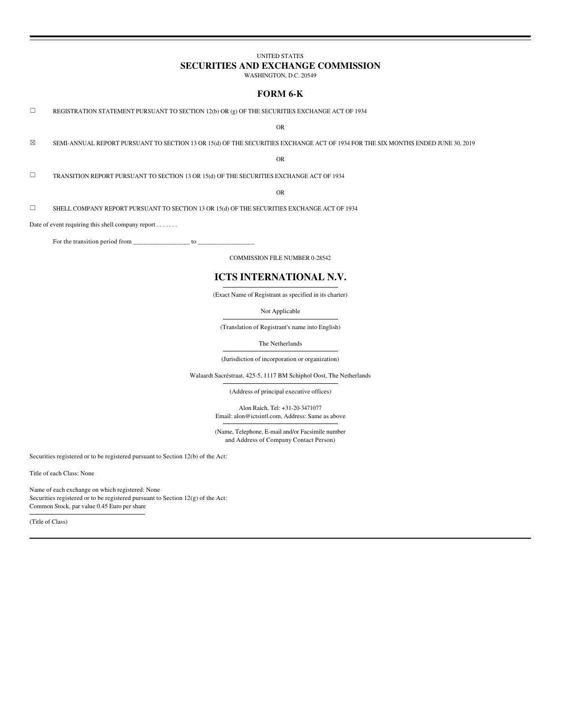## **UNITED STATES**

# SECURITIES AND EXCHANGE COMMISSION

WASHINGTON, D.C. 20549

## FORM 6-K

 $\Box$ REGISTRATION STATEMENT PURSUANT TO SECTION 12(b) OR (g) OF THE SECURITIES EXCHANGE ACT OF 1934

**OR** 

 $\boxtimes$ SEMI-ANNUAL REPORT PURSUANT TO SECTION 13 OR 15(d) OF THE SECURITIES EXCHANGE ACT OF 1934 FOR THE SIX MONTHS ENDED JUNE 30, 2019

**OR** 

 $\Box$ TRANSITION REPORT PURSUANT TO SECTION 13 OR 15(d) OF THE SECURITIES EXCHANGE ACT OF 1934

 $\Omega$ 

 $\Box$ SHELL COMPANY REPORT PURSUANT TO SECTION 13 OR 15(d) OF THE SECURITIES EXCHANGE ACT OF 1934

Date of event requiring this shell company report . . . . . . .

For the transition period from \_\_\_\_  $\frac{1}{\sqrt{1-\frac{1}{2}}}$  to  $\frac{1}{\sqrt{1-\frac{1}{2}}}$ 

**COMMISSION FILE NUMBER 0-28542** 

# ICTS INTERNATIONAL N.V.

(Exact Name of Registrant as specified in its charter)

Not Applicable

(Translation of Registrant's name into English)

The Netherlands

(Jurisdiction of incorporation or organization)

Walaardt Sacréstraat, 425-5, 1117 BM Schiphol Oost, The Netherlands

(Address of principal executive offices)

Alon Raich, Tel: +31-20-3471077

Email: alon@ictsintl.com, Address: Same as above

(Name, Telephone, E-mail and/or Facsimile number and Address of Company Contact Person)

Securities registered or to be registered pursuant to Section  $12(b)$  of the Act:

Title of each Class: None

Name of each exchange on which registered: None Securities registered or to be registered pursuant to Section 12(g) of the Act: Common Stock, par value 0.45 Euro per share

(Title of Class)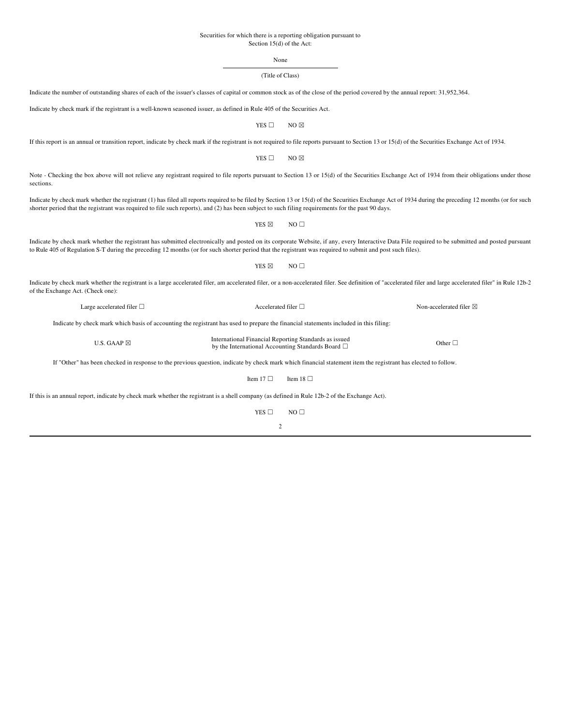## Securities for which there is a reporting obligation pursuant to Section 15(d) of the Act:

None

# (Title of Class)

| Indicate the number of outstanding shares of each of the issuer's classes of capital or common stock as of the close of the period covered by the annual report: 31,952,364.                                                                                                                                                                                  |                                                                                                                 |                 |                         |
|---------------------------------------------------------------------------------------------------------------------------------------------------------------------------------------------------------------------------------------------------------------------------------------------------------------------------------------------------------------|-----------------------------------------------------------------------------------------------------------------|-----------------|-------------------------|
| Indicate by check mark if the registrant is a well-known seasoned issuer, as defined in Rule 405 of the Securities Act.                                                                                                                                                                                                                                       |                                                                                                                 |                 |                         |
|                                                                                                                                                                                                                                                                                                                                                               | YES $\square$                                                                                                   | $NO \boxtimes$  |                         |
| If this report is an annual or transition report, indicate by check mark if the registrant is not required to file reports pursuant to Section 13 or 15(d) of the Securities Exchange Act of 1934.                                                                                                                                                            |                                                                                                                 |                 |                         |
|                                                                                                                                                                                                                                                                                                                                                               | YES $\square$                                                                                                   | $NO \boxtimes$  |                         |
| Note - Checking the box above will not relieve any registrant required to file reports pursuant to Section 13 or 15(d) of the Securities Exchange Act of 1934 from their obligations under those<br>sections.                                                                                                                                                 |                                                                                                                 |                 |                         |
| Indicate by check mark whether the registrant (1) has filed all reports required to be filed by Section 13 or 15(d) of the Securities Exchange Act of 1934 during the preceding 12 months (or for such<br>shorter period that the registrant was required to file such reports), and (2) has been subject to such filing requirements for the past 90 days.   |                                                                                                                 |                 |                         |
|                                                                                                                                                                                                                                                                                                                                                               | YES ⊠                                                                                                           | $NO \Box$       |                         |
| Indicate by check mark whether the registrant has submitted electronically and posted on its corporate Website, if any, every Interactive Data File required to be submitted and posted pursuant<br>to Rule 405 of Regulation S-T during the preceding 12 months (or for such shorter period that the registrant was required to submit and post such files). |                                                                                                                 |                 |                         |
|                                                                                                                                                                                                                                                                                                                                                               | YES ⊠                                                                                                           | $NO \Box$       |                         |
| Indicate by check mark whether the registrant is a large accelerated filer, am accelerated filer, or a non-accelerated filer. See definition of "accelerated filer and large accelerated filer" in Rule 12b-2<br>of the Exchange Act. (Check one):                                                                                                            |                                                                                                                 |                 |                         |
| Large accelerated filer $\Box$                                                                                                                                                                                                                                                                                                                                | Accelerated filer □                                                                                             |                 | Non-accelerated filer ⊠ |
| Indicate by check mark which basis of accounting the registrant has used to prepare the financial statements included in this filing:                                                                                                                                                                                                                         |                                                                                                                 |                 |                         |
| U.S. GAAP $\boxtimes$                                                                                                                                                                                                                                                                                                                                         | International Financial Reporting Standards as issued<br>by the International Accounting Standards Board $\Box$ |                 | Other $\Box$            |
| If "Other" has been checked in response to the previous question, indicate by check mark which financial statement item the registrant has elected to follow.                                                                                                                                                                                                 |                                                                                                                 |                 |                         |
|                                                                                                                                                                                                                                                                                                                                                               | Item 17 $\Box$                                                                                                  | Item 18 $\Box$  |                         |
| If this is an annual report, indicate by check mark whether the registrant is a shell company (as defined in Rule 12b-2 of the Exchange Act).                                                                                                                                                                                                                 |                                                                                                                 |                 |                         |
|                                                                                                                                                                                                                                                                                                                                                               | YES $\square$                                                                                                   | NO <sub>1</sub> |                         |
|                                                                                                                                                                                                                                                                                                                                                               | 2                                                                                                               |                 |                         |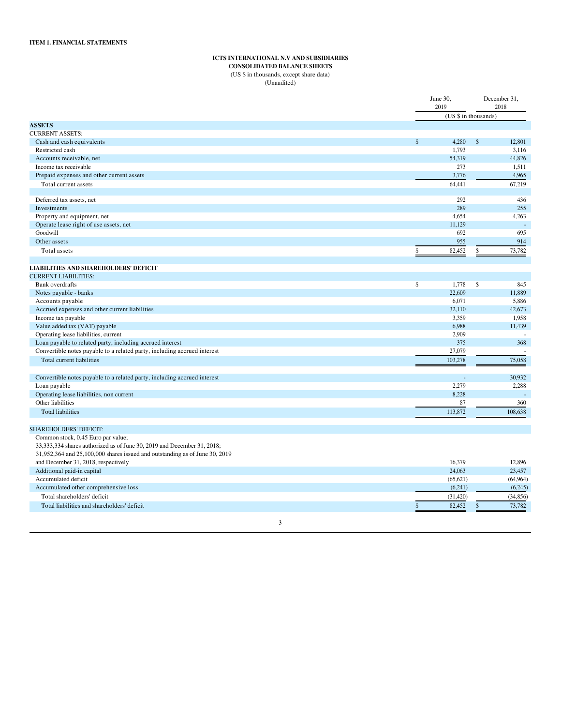# ICTS INTERNATIONAL N.V AND SUBSIDIARIES

**CONSOLIDATED BALANCE SHEETS** (US \$ in thousands, except share data)

(Unaudited)

|                                                                             | June 30,<br>2019    | December 31,<br>2018 |                     |
|-----------------------------------------------------------------------------|---------------------|----------------------|---------------------|
|                                                                             |                     | (US \$ in thousands) |                     |
| <b>ASSETS</b>                                                               |                     |                      |                     |
| <b>CURRENT ASSETS:</b>                                                      |                     |                      |                     |
| $\mathbb{S}$<br>Cash and cash equivalents                                   | 4,280               | $\mathbb{S}$         | 12,801              |
| Restricted cash                                                             | 1,793               |                      | 3,116               |
| Accounts receivable, net                                                    | 54,319              |                      | 44,826              |
| Income tax receivable                                                       | 273                 |                      | 1,511               |
| Prepaid expenses and other current assets                                   | 3,776               |                      | 4,965               |
| Total current assets                                                        | 64,441              |                      | 67,219              |
|                                                                             |                     |                      |                     |
| Deferred tax assets, net                                                    | 292                 |                      | 436                 |
| Investments                                                                 | 289                 |                      | 255                 |
| Property and equipment, net                                                 | 4,654               |                      | 4,263               |
| Operate lease right of use assets, net                                      | 11,129              |                      |                     |
| Goodwill                                                                    | 692                 |                      | 695                 |
| Other assets                                                                | 955                 |                      | 914                 |
| \$<br>Total assets                                                          | 82,452              | \$                   | 73,782              |
| <b>LIABILITIES AND SHAREHOLDERS' DEFICIT</b>                                |                     |                      |                     |
| <b>CURRENT LIABILITIES:</b>                                                 |                     |                      |                     |
| \$<br><b>Bank</b> overdrafts                                                | 1,778               | \$                   | 845                 |
| Notes payable - banks                                                       | 22,609              |                      | 11,889              |
| Accounts payable                                                            | 6,071               |                      | 5,886               |
| Accrued expenses and other current liabilities                              | 32,110              |                      | 42,673              |
| Income tax payable                                                          | 3,359               |                      | 1,958               |
| Value added tax (VAT) payable                                               | 6,988               |                      | 11,439              |
| Operating lease liabilities, current                                        | 2,909               |                      |                     |
| Loan payable to related party, including accrued interest                   | 375                 |                      | 368                 |
| Convertible notes payable to a related party, including accrued interest    | 27,079              |                      |                     |
| <b>Total current liabilities</b>                                            | 103,278             |                      | 75,058              |
|                                                                             |                     |                      |                     |
| Convertible notes payable to a related party, including accrued interest    |                     |                      | 30,932              |
| Loan payable                                                                | 2,279               |                      | 2,288               |
| Operating lease liabilities, non current                                    | 8,228               |                      |                     |
| Other liabilities                                                           | 87                  |                      | 360                 |
| <b>Total liabilities</b>                                                    | 113,872             |                      | 108,638             |
|                                                                             |                     |                      |                     |
| <b>SHAREHOLDERS' DEFICIT:</b>                                               |                     |                      |                     |
| Common stock, 0.45 Euro par value;                                          |                     |                      |                     |
| 33,333,334 shares authorized as of June 30, 2019 and December 31, 2018;     |                     |                      |                     |
| 31,952,364 and 25,100,000 shares issued and outstanding as of June 30, 2019 | 16,379              |                      |                     |
| and December 31, 2018, respectively                                         |                     |                      | 12,896              |
| Additional paid-in capital<br>Accumulated deficit                           | 24,063<br>(65, 621) |                      | 23,457<br>(64, 964) |
|                                                                             |                     |                      |                     |
| Accumulated other comprehensive loss                                        | (6,241)             |                      | (6,245)             |
| Total shareholders' deficit                                                 | (31, 420)           |                      | (34, 856)           |
| Total liabilities and shareholders' deficit<br>\$                           | 82,452              | \$                   | 73,782              |

 $\mathbf{3}$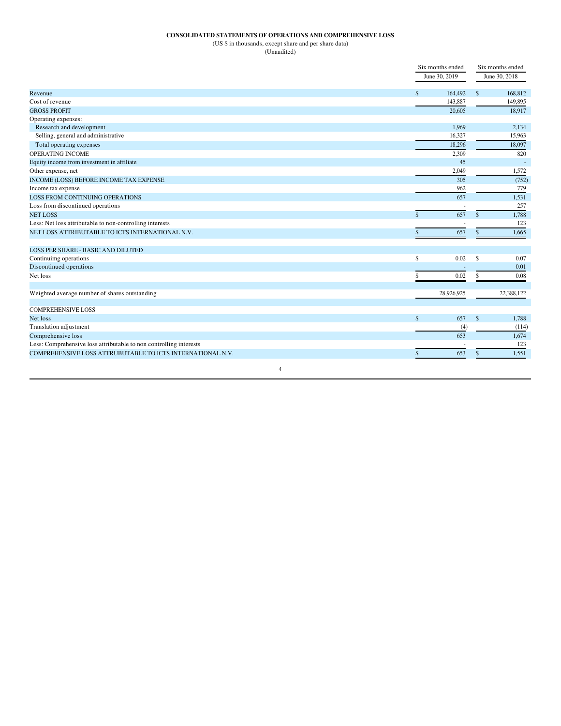# CONSOLIDATED STATEMENTS OF OPERATIONS AND COMPREHENSIVE LOSS

(US \$ in thousands, except share and per share data)

(Unaudited)

|                                                                    | Six months ended    | Six months ended |               |
|--------------------------------------------------------------------|---------------------|------------------|---------------|
|                                                                    | June 30, 2019       |                  | June 30, 2018 |
| Revenue                                                            | \$<br>164,492       | $\mathbb{S}$     | 168,812       |
| Cost of revenue                                                    | 143,887             |                  | 149,895       |
| <b>GROSS PROFIT</b>                                                | 20.605              |                  | 18.917        |
| Operating expenses:                                                |                     |                  |               |
| Research and development                                           | 1,969               |                  | 2,134         |
| Selling, general and administrative                                | 16,327              |                  | 15,963        |
| Total operating expenses                                           | 18.296              |                  | 18,097        |
| OPER ATING INCOME                                                  | 2.309               |                  | 820           |
| Equity income from investment in affiliate                         | 45                  |                  |               |
| Other expense, net                                                 | 2,049               |                  | 1,572         |
| INCOME (LOSS) BEFORE INCOME TAX EXPENSE                            | 305                 |                  | (752)         |
| Income tax expense                                                 | 962                 |                  | 779           |
| <b>LOSS FROM CONTINUING OPERATIONS</b>                             | 657                 |                  | 1,531         |
| Loss from discontinued operations                                  |                     |                  | 257           |
| <b>NET LOSS</b>                                                    | 657<br>$\mathbf{s}$ | $\mathbf{s}$     | 1,788         |
| Less: Net loss attributable to non-controlling interests           |                     |                  | 123           |
| NET LOSS ATTRIBUTABLE TO ICTS INTERNATIONAL N.V.                   | 657<br>\$           | $\mathbb{S}$     | 1,665         |
| LOSS PER SHARE - BASIC AND DILUTED                                 |                     |                  |               |
| Continuimg operations                                              | 0.02<br>\$          | $\mathbf S$      | 0.07          |
| Discontinued operations                                            |                     |                  | 0.01          |
| Net loss                                                           | 0.02<br>\$          | $\mathbb{S}$     | 0.08          |
| Weighted average number of shares outstanding                      | 28,926,925          |                  | 22,388,122    |
| <b>COMPREHENSIVE LOSS</b>                                          |                     |                  |               |
| Net loss                                                           | $\mathsf{s}$<br>657 | $\mathbf{s}$     | 1.788         |
| Translation adjustment                                             | (4)                 |                  | (114)         |
| Comprehensive loss                                                 | 653                 |                  | 1.674         |
| Less: Comprehensive loss attributable to non controlling interests |                     |                  | 123           |
| COMPREHENSIVE LOSS ATTRUBUTABLE TO ICTS INTERNATIONAL N.V.         | 653<br>\$           | $\mathsf{\$}$    | 1,551         |
| $\overline{4}$                                                     |                     |                  |               |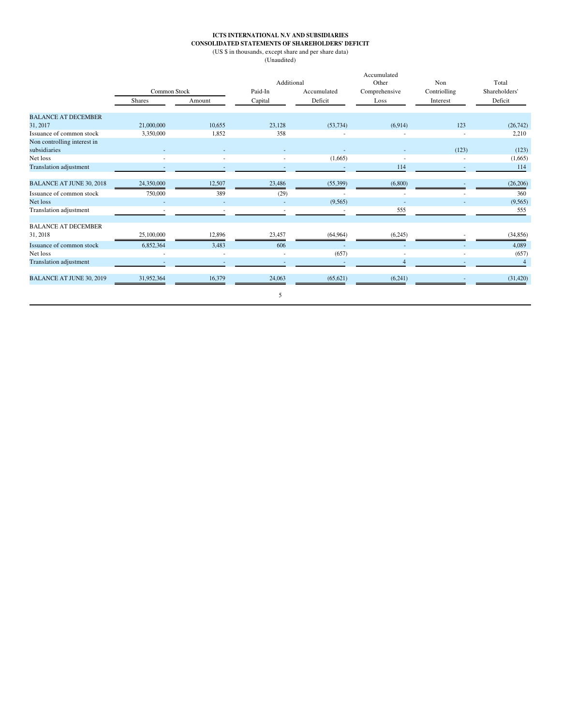# ICTS INTERNATIONAL N.V AND SUBSIDIARIES<br>CONSOLIDATED STATEMENTS OF SHAREHOLDERS' DEFICIT

(US  $\$$  in thousands, except share and per share data)

(Unaudited)

|                                             |                          |        | Additional             |                          | Accumulated<br>Other | Non          | Total          |
|---------------------------------------------|--------------------------|--------|------------------------|--------------------------|----------------------|--------------|----------------|
|                                             | <b>Common Stock</b>      |        | Paid-In<br>Accumulated |                          | Comprehensive        | Contriolling | Shareholders'  |
|                                             | <b>Shares</b>            | Amount | Capital                | Deficit                  | Loss                 | Interest     | Deficit        |
| <b>BALANCE AT DECEMBER</b>                  |                          |        |                        |                          |                      |              |                |
| 31, 2017                                    | 21,000,000               | 10.655 | 23.128                 | (53, 734)                | (6,914)              | 123          | (26, 742)      |
| Issuance of common stock                    | 3,350,000                | 1,852  | 358                    |                          |                      |              | 2,210          |
| Non controlling interest in<br>subsidiaries |                          |        |                        | $\overline{\phantom{a}}$ |                      | (123)        | (123)          |
| Net loss                                    | $\overline{\phantom{a}}$ | ٠      | ٠                      | (1,665)                  | ٠                    |              | (1,665)        |
| <b>Translation adjustment</b>               |                          |        |                        |                          | 114                  | ٠            | 114            |
| <b>BALANCE AT JUNE 30, 2018</b>             | 24,350,000               | 12,507 | 23,486                 | (55,399)                 | (6,800)              |              | (26, 206)      |
| Issuance of common stock                    | 750,000                  | 389    | (29)                   |                          | ÷                    |              | 360            |
| Net loss                                    |                          |        |                        | (9,565)                  |                      |              | (9, 565)       |
| Translation adjustment                      |                          |        |                        |                          | 555                  |              | 555            |
| <b>BALANCE AT DECEMBER</b>                  |                          |        |                        |                          |                      |              |                |
| 31, 2018                                    | 25,100,000               | 12,896 | 23,457                 | (64, 964)                | (6,245)              |              | (34, 856)      |
| Issuance of common stock                    | 6,852,364                | 3,483  | 606                    |                          |                      |              | 4,089          |
| Net loss                                    | $\overline{\phantom{a}}$ | ٠      | ٠                      | (657)                    |                      |              | (657)          |
| Translation adjustment                      |                          |        |                        |                          | $\overline{4}$       |              | $\overline{4}$ |
| <b>BALANCE AT JUNE 30, 2019</b>             | 31,952,364               | 16,379 | 24,063                 | (65, 621)                | (6,241)              |              | (31, 420)      |
|                                             |                          |        | 5                      |                          |                      |              |                |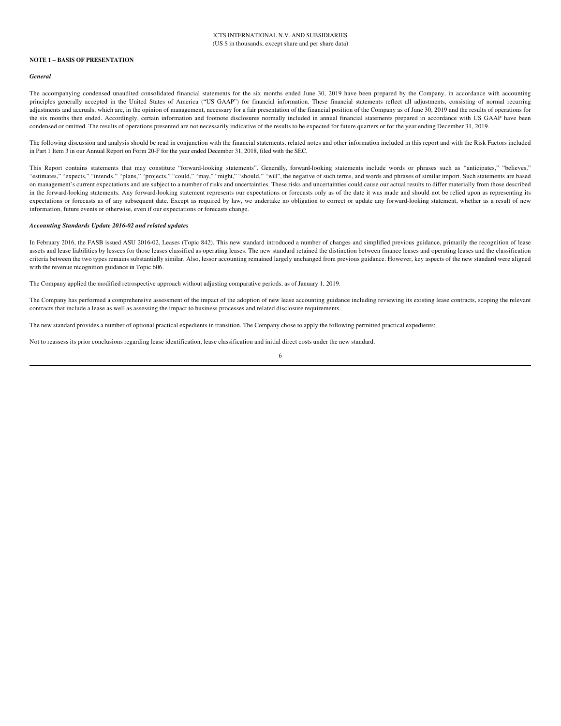#### **NOTE 1 - BASIS OF PRESENTATION**

#### General

The accompanying condensed unaudited consolidated financial statements for the six months ended June 30, 2019 have been prepared by the Company, in accordance with accounting principles generally accepted in the United States of America ("US GAAP") for financial information. These financial statements reflect all adjustments, consisting of normal recurring adjustments and accruals, which are, in the opinion of management, necessary for a fair presentation of the financial position of the Company as of June 30, 2019 and the results of operations for the six months then ended. Accordingly, certain information and footnote disclosures normally included in annual financial statements prepared in accordance with US GAAP have been condensed or omitted. The results of operations presented are not necessarily indicative of the results to be expected for future quarters or for the year ending December 31, 2019.

The following discussion and analysis should be read in conjunction with the financial statements, related notes and other information included in this report and with the Risk Factors included in Part 1 Item 3 in our Annual Report on Form 20-F for the year ended December 31, 2018, filed with the SEC.

This Report contains statements that may constitute "forward-looking statements". Generally, forward-looking statements include words or phrases such as "anticipates," "believes," "estimates," "expects," "intends," "plans," "projects," "could," "may," "might," "should," "will", the negative of such terms, and words and phrases of similar import. Such statements are based on management's current expectations and are subject to a number of risks and uncertainties. These risks and uncertainties could cause our actual results to differ materially from those described in the forward-looking statements. Any forward-looking statement represents our expectations or forecasts only as of the date it was made and should not be relied upon as representing its expectations or forecasts as of any subsequent date. Except as required by law, we undertake no obligation to correct or update any forward-looking statement, whether as a result of new information, future events or otherwise, even if our expectations or forecasts change.

#### Accounting Standards Update 2016-02 and related updates

In February 2016, the FASB issued ASU 2016-02, Leases (Topic 842). This new standard introduced a number of changes and simplified previous guidance, primarily the recognition of lease assets and lease liabilities by lessees for those leases classified as operating leases. The new standard retained the distinction between finance leases and operating leases and the classification criteria between the two types remains substantially similar. Also, lessor accounting remained largely unchanged from previous guidance. However, key aspects of the new standard were aligned with the revenue recognition guidance in Topic 606.

The Company applied the modified retrospective approach without adjusting comparative periods, as of January 1, 2019.

The Company has performed a comprehensive assessment of the impact of the adoption of new lease accounting guidance including reviewing its existing lease contracts, scoping the relevant contracts that include a lease as well as assessing the impact to business processes and related disclosure requirements.

The new standard provides a number of optional practical expedients in transition. The Company chose to apply the following permitted practical expedients:

Not to reassess its prior conclusions regarding lease identification, lease classification and initial direct costs under the new standard.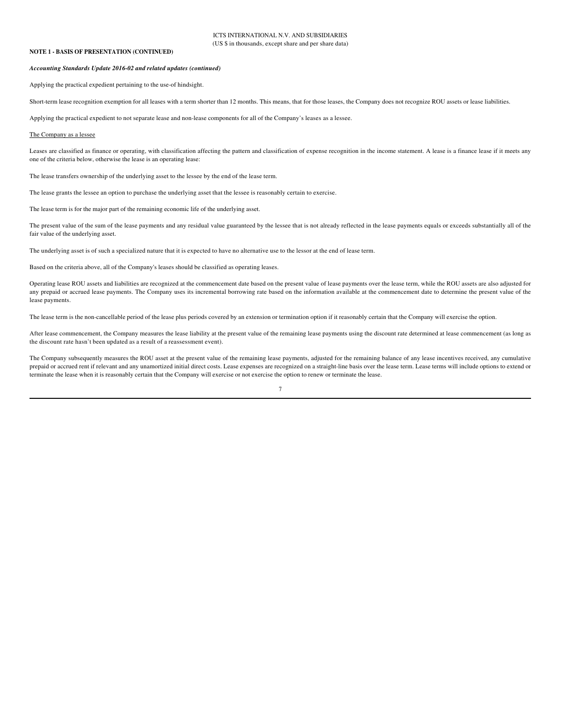## **NOTE 1 - BASIS OF PRESENTATION (CONTINUED)**

#### Accounting Standards Update 2016-02 and related updates (continued)

Applying the practical expedient pertaining to the use-of hindsight.

Short-term lease recognition exemption for all leases with a term shorter than 12 months. This means, that for those leases, the Company does not recognize ROU assets or lease liabilities.

Applying the practical expedient to not separate lease and non-lease components for all of the Company's leases as a lessee.

#### The Company as a lessee

Leases are classified as finance or operating, with classification affecting the pattern and classification of expense recognition in the income statement. A lease is a finance lease if it meets any one of the criteria below, otherwise the lease is an operating lease:

The lease transfers ownership of the underlying asset to the lessee by the end of the lease term.

The lease grants the lessee an option to purchase the underlying asset that the lessee is reasonably certain to exercise.

The lease term is for the major part of the remaining economic life of the underlying asset.

The present value of the sum of the lease payments and any residual value guaranteed by the lessee that is not already reflected in the lease payments equals or exceeds substantially all of the fair value of the underlying asset.

The underlying asset is of such a specialized nature that it is expected to have no alternative use to the lessor at the end of lease term.

Based on the criteria above, all of the Company's leases should be classified as operating leases.

Operating lease ROU assets and liabilities are recognized at the commencement date based on the present value of lease payments over the lease term, while the ROU assets are also adjusted for any prepaid or accrued lease payments. The Company uses its incremental borrowing rate based on the information available at the commencement date to determine the present value of the lease payments.

The lease term is the non-cancellable period of the lease plus periods covered by an extension or termination option if it reasonably certain that the Company will exercise the option.

After lease commencement, the Company measures the lease liability at the present value of the remaining lease payments using the discount rate determined at lease commencement (as long as the discount rate hasn't been updated as a result of a reassessment event).

The Company subsequently measures the ROU asset at the present value of the remaining lease payments, adjusted for the remaining balance of any lease incentives received, any cumulative prepaid or accrued rent if relevant and any unamortized initial direct costs. Lease expenses are recognized on a straight-line basis over the lease term. Lease terms will include options to extend or terminate the lease when it is reasonably certain that the Company will exercise or not exercise the option to renew or terminate the lease.

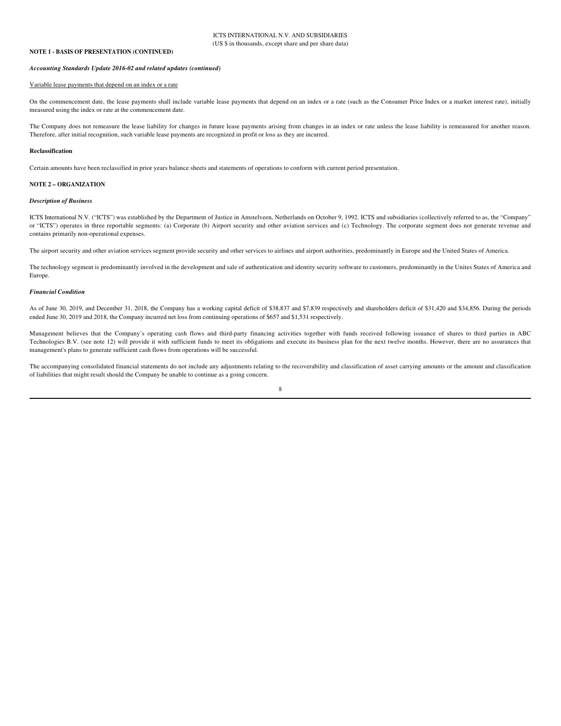## **NOTE 1 - BASIS OF PRESENTATION (CONTINUED)**

#### Accounting Standards Update 2016-02 and related updates (continued)

## Variable lease payments that depend on an index or a rate

On the commencement date, the lease payments shall include variable lease payments that depend on an index or a rate (such as the Consumer Price Index or a market interest rate), initially measured using the index or rate at the commencement date.

The Company does not remeasure the lease liability for changes in future lease payments arising from changes in an index or rate unless the lease liability is remeasured for another reason. Therefore, after initial recognition, such variable lease payments are recognized in profit or loss as they are incurred.

#### **Reclassification**

Certain amounts have been reclassified in prior vears balance sheets and statements of operations to conform with current period presentation.

## **NOTE 2 - ORGANIZATION**

## **Description of Business**

ICTS International N.V. ("ICTS") was established by the Department of Justice in Amstelveen, Netherlands on October 9, 1992. ICTS and subsidiaries (collectively referred to as, the "Company" or "ICTS") operates in three reportable segments: (a) Corporate (b) Airport security and other aviation services and (c) Technology. The corporate segment does not generate revenue and contains primarily non-operational expenses.

The airport security and other aviation services segment provide security and other services to airlines and airport authorities, predominantly in Europe and the United States of America.

The technology segment is predominantly involved in the development and sale of authentication and identity security software to customers, predominantly in the Unites States of America and Europe.

#### **Financial Condition**

As of June 30, 2019, and December 31, 2018, the Company has a working capital deficit of \$38,837 and \$7,839 respectively and shareholders deficit of \$31,420 and \$34,856. During the periods ended June 30, 2019 and 2018, the Company incurred net loss from continuing operations of \$657 and \$1,531 respectively.

Management believes that the Company's operating cash flows and third-party financing activities together with funds received following issuance of shares to third parties in ABC Technologies B.V. (see note 12) will provide it with sufficient funds to meet its obligations and execute its business plan for the next twelve months. However, there are no assurances that management's plans to generate sufficient cash flows from operations will be successful.

The accompanying consolidated financial statements do not include any adjustments relating to the recoverability and classification of asset carrying amounts or the amount and classification of liabilities that might result should the Company be unable to continue as a going concern.

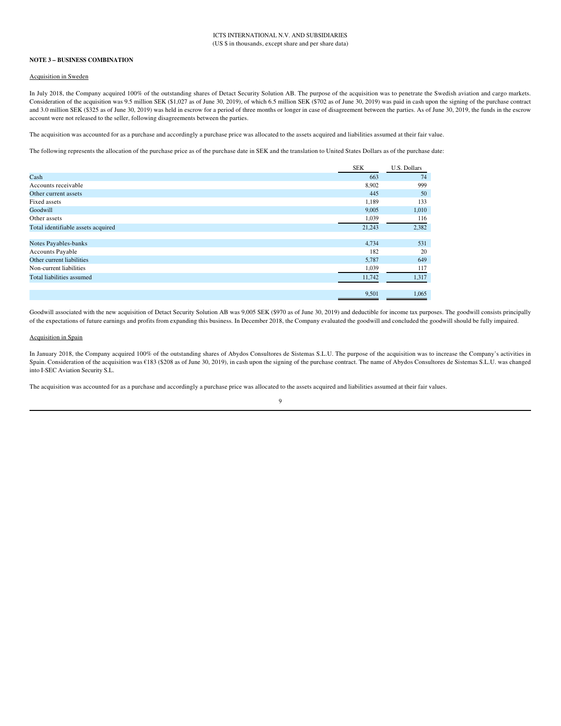#### **NOTE 3 - BUSINESS COMBINATION**

## Acquisition in Sweden

In July 2018, the Company acquired 100% of the outstanding shares of Detact Security Solution AB. The purpose of the acquisition was to penetrate the Swedish aviation and cargo markets. Consideration of the acquisition was 9.5 million SEK (\$1,027 as of June 30, 2019), of which 6.5 million SEK (\$702 as of June 30, 2019) was paid in cash upon the signing of the purchase contract and 3.0 million SEK (\$325 as of June 30, 2019) was held in escrow for a period of three months or longer in case of disagreement between the parties. As of June 30, 2019, the funds in the escrow account were not released to the seller, following disagreements between the parties.

The acquisition was accounted for as a purchase and accordingly a purchase price was allocated to the assets acquired and liabilities assumed at their fair value.

The following represents the allocation of the purchase price as of the purchase date in SEK and the translation to United States Dollars as of the purchase date:

|                                    | <b>SEK</b> | U.S. Dollars |
|------------------------------------|------------|--------------|
| Cash                               | 663        | 74           |
| Accounts receivable                | 8,902      | 999          |
| Other current assets               | 445        | 50           |
| Fixed assets                       | 1,189      | 133          |
| Goodwill                           | 9,005      | 1,010        |
| Other assets                       | 1,039      | 116          |
| Total identifiable assets acquired | 21,243     | 2,382        |
|                                    |            |              |
| Notes Payables-banks               | 4,734      | 531          |
| Accounts Payable                   | 182        | 20           |
| Other current liabilities          | 5,787      | 649          |
| Non-current liabilities            | 1,039      | 117          |
| Total liabilities assumed          | 11,742     | 1,317        |
|                                    | 9,501      | 1,065        |

Goodwill associated with the new acquisition of Detact Security Solution AB was 9,005 SEK (\$970 as of June 30, 2019) and deductible for income tax purposes. The goodwill consists principally of the expectations of future earnings and profits from expanding this business. In December 2018, the Company evaluated the goodwill and concluded the goodwill should be fully impaired.

## Acquisition in Spain

In January 2018, the Company acquired 100% of the outstanding shares of Abydos Consultores de Sistemas S.L.U. The purpose of the acquisition was to increase the Company's activities in Spain. Consideration of the acquisition was €183 (\$208 as of June 30, 2019), in cash upon the signing of the purchase contract. The name of Abydos Consultores de Sistemas S.L.U. was changed into I-SEC Aviation Security S.L.

The acquisition was accounted for as a purchase and accordingly a purchase price was allocated to the assets acquired and liabilities assumed at their fair values.

#### $\boldsymbol{9}$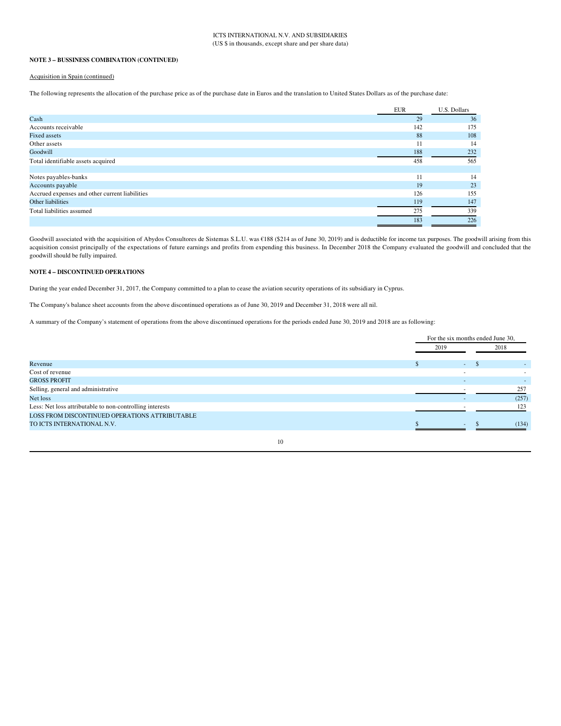## NOTE 3 - BUSSINESS COMBINATION (CONTINUED)

## Acquisition in Spain (continued)

The following represents the allocation of the purchase price as of the purchase date in Euros and the translation to United States Dollars as of the purchase date:

|                                                | <b>EUR</b> | U.S. Dollars |
|------------------------------------------------|------------|--------------|
| $\operatorname{Cash}$                          | 29         | 36           |
| Accounts receivable                            | 142        | 175          |
| <b>Fixed assets</b>                            | 88         | 108          |
| Other assets                                   | 11         | 14           |
| Goodwill                                       | 188        | 232          |
| Total identifiable assets acquired             | 458        | 565          |
|                                                |            |              |
| Notes payables-banks                           | 11         | 14           |
| Accounts payable                               | 19         | 23           |
| Accrued expenses and other current liabilities | 126        | 155          |
| Other liabilities                              | 119        | 147          |
| Total liabilities assumed                      | 275        | 339          |
|                                                | 183        | 226          |

Goodwill associated with the acquisition of Abydos Consultores de Sistemas S.L.U. was €188 (\$214 as of June 30, 2019) and is deductible for income tax purposes. The goodwill arising from this acquisition consist principally of the expectations of future earnings and profits from expending this business. In December 2018 the Company evaluated the goodwill and concluded that the goodwill should be fully impaired.

## **NOTE 4 - DISCONTINUED OPERATIONS**

During the year ended December 31, 2017, the Company committed to a plan to cease the aviation security operations of its subsidiary in Cyprus.

The Company's balance sheet accounts from the above discontinued operations as of June 30, 2019 and December 31, 2018 were all nil.

A summary of the Company's statement of operations from the above discontinued operations for the periods ended June 30, 2019 and 2018 are as following:

|                                                          |        | For the six months ended June 30, |
|----------------------------------------------------------|--------|-----------------------------------|
|                                                          | 2019   | 2018                              |
| Revenue                                                  | $\sim$ |                                   |
| Cost of revenue                                          |        |                                   |
| <b>GROSS PROFIT</b>                                      |        |                                   |
| Selling, general and administrative                      |        | 257                               |
| Net loss                                                 |        | (257)                             |
| Less: Net loss attributable to non-controlling interests |        | 123                               |
| LOSS FROM DISCONTINUED OPERATIONS ATTRIBUTABLE           |        |                                   |
| TO ICTS INTERNATIONAL N.V.                               |        | (134)                             |
|                                                          |        |                                   |

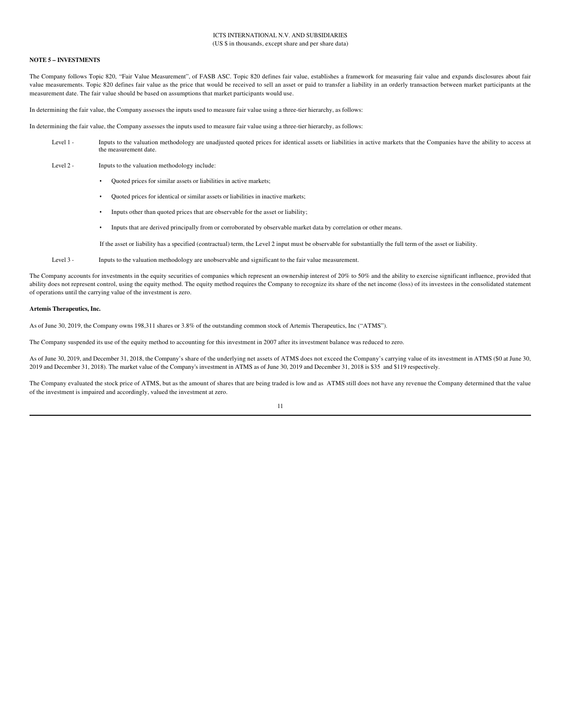## **ICTS INTERNATIONAL N V AND SUBSIDIARIES** (US \$ in thousands, except share and per share data)

#### **NOTE 5 - INVESTMENTS**

The Company follows Topic 820, "Fair Value Measurement", of FASB ASC. Topic 820 defines fair value, establishes a framework for measuring fair value and expands disclosures about fair value measurements. Topic 820 defines fair value as the price that would be received to sell an asset or paid to transfer a liability in an orderly transaction between market participants at the measurement date. The fair value should be based on assumptions that market participants would use.

In determining the fair value, the Company assesses the inputs used to measure fair value using a three-tier hierarchy, as follows:

In determining the fair value, the Company assesses the inputs used to measure fair value using a three-tier hierarchy, as follows:

- Level 1 -Inputs to the valuation methodology are unadjusted quoted prices for identical assets or liabilities in active markets that the Companies have the ability to access at the measurement date.
- Level 2 -Inputs to the valuation methodology include:
	- Quoted prices for similar assets or liabilities in active markets;
	- Quoted prices for identical or similar assets or liabilities in inactive markets;
	- Inputs other than quoted prices that are observable for the asset or liability;  $\bullet$
	- Inputs that are derived principally from or corroborated by observable market data by correlation or other means.
	- If the asset or liability has a specified (contractual) term, the Level 2 input must be observable for substantially the full term of the asset or liability.
- Level 3 -Inputs to the valuation methodology are unobservable and significant to the fair value measurement.

The Company accounts for investments in the equity securities of companies which represent an ownership interest of 20% to 50% and the ability to exercise significant influence, provided that ability does not represent control, using the equity method. The equity method requires the Company to recognize its share of the net income (loss) of its investees in the consolidated statement of operations until the carrying value of the investment is zero.

#### Artemis Therapeutics, Inc.

As of June 30, 2019, the Company owns 198,311 shares or 3.8% of the outstanding common stock of Artemis Therapeutics, Inc ("ATMS").

The Company suspended its use of the equity method to accounting for this investment in 2007 after its investment balance was reduced to zero.

As of June 30, 2019, and December 31, 2018, the Company's share of the underlying net assets of ATMS does not exceed the Company's carrying value of its investment in ATMS (\$0 at June 30, 2019 and December 31, 2018). The market value of the Company's investment in ATMS as of June 30, 2019 and December 31, 2018 is \$35 and \$119 respectively.

The Company evaluated the stock price of ATMS, but as the amount of shares that are being traded is low and as ATMS still does not have any revenue the Company determined that the value of the investment is impaired and accordingly, valued the investment at zero.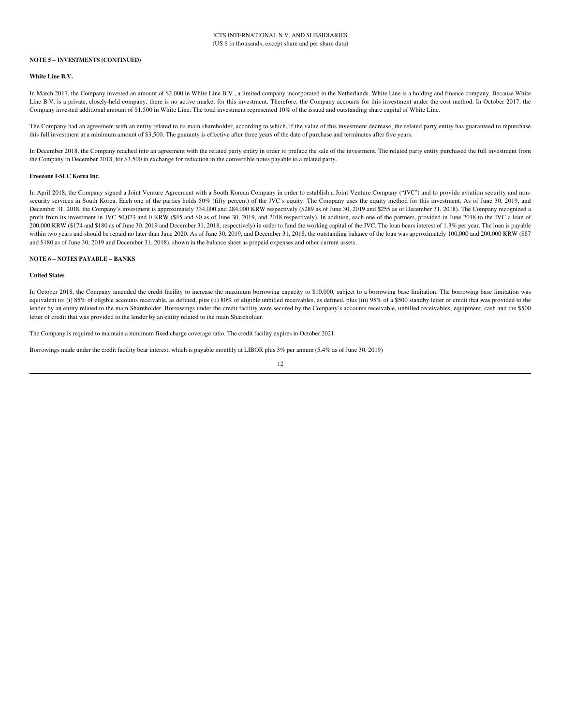#### **NOTE 5 - INVESTMENTS (CONTINUED)**

#### White Line B.V.

In March 2017, the Company invested an amount of \$2,000 in White Line B.V., a limited company incorporated in the Netherlands. White Line is a holding and finance company. Because White Line B.V. is a private, closely-held company, there is no active market for this investment. Therefore, the Company accounts for this investment under the cost method. In October 2017, the Company invested additional amount of \$1,500 in White Line. The total investment represented 10% of the issued and outstanding share capital of White Line.

The Company had an agreement with an entity related to its main shareholder, according to which, if the value of this investment decrease, the related party entity has guaranteed to repurchase this full investment at a minimum amount of \$3,500. The guaranty is effective after three years of the date of purchase and terminates after five years.

In December 2018, the Company reached into an agreement with the related party entity in order to preface the sale of the investment. The related party entity purchased the full investment from the Company in December 2018, for \$3,500 in exchange for reduction in the convertible notes payable to a related party.

#### Freezone LSEC Korea Inc.

In April 2018, the Company signed a Joint Venture Agreement with a South Korean Company in order to establish a Joint Venture Company ("JVC") and to provide aviation security and nonsecurity services in South Korea. Each one of the parties holds 50% (fifty percent) of the JVC's equity. The Company uses the equity method for this investment. As of June 30, 2019, and December 31, 2018, the Company's investment is approximately 334,000 and 284,000 KRW respectively (\$289 as of June 30, 2019 and \$255 as of December 31, 2018). The Company recognized a profit from its investment in JVC 50,073 and 0 KRW (\$45 and \$0 as of June 30, 2019, and 2018 respectively). In addition, each one of the partners, provided in June 2018 to the JVC a loan of 200,000 KRW (\$174 and \$180 as of June 30, 2019 and December 31, 2018, respectively) in order to fund the working capital of the JVC. The loan bears interest of 1.3% per year. The loan is payable within two years and should be repaid no later than June 2020. As of June 30, 2019, and December 31, 2018, the outstanding balance of the loan was approximately 100,000 and 200,000 KRW (\$87) and \$180 as of June 30, 2019 and December 31, 2018), shown in the balance sheet as prepaid expenses and other current assets.

## **NOTE 6 - NOTES PAYABLE - BANKS**

#### **United States**

In October 2018, the Company amended the credit facility to increase the maximum borrowing capacity to \$10,000, subject to a borrowing base limitation. The borrowing base limitation was equivalent to: (i) 85% of eligible accounts receivable, as defined, plus (ii) 80% of eligible unbilled receivables, as defined, plus (iii) 95% of a \$500 standby letter of credit that was provided to the lender by an entity related to the main Shareholder. Borrowings under the credit facility were secured by the Company's accounts receivable, unbilled receivables, equipment, cash and the \$500 letter of credit that was provided to the lender by an entity related to the main Shareholder.

The Company is required to maintain a minimum fixed charge coverage ratio. The credit facility expires in October 2021.

Borrowings made under the credit facility bear interest, which is payable monthly at LIBOR plus 3% per annum (5.4% as of June 30, 2019)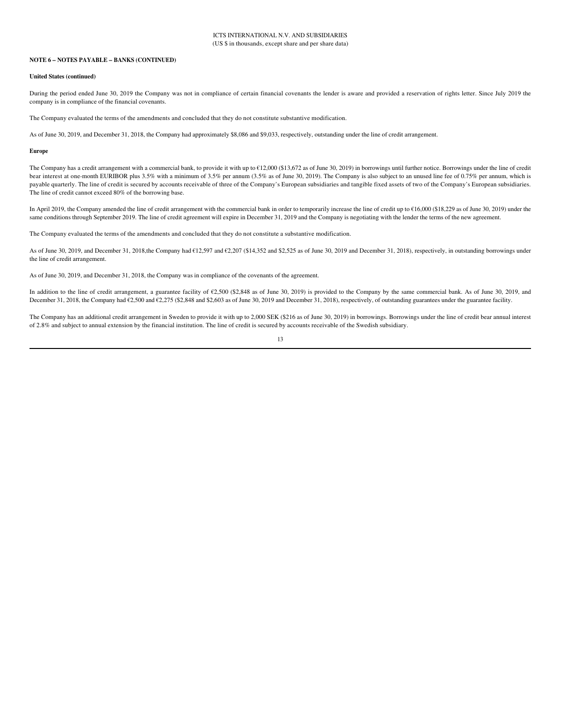#### **NOTE 6 - NOTES PAYABLE - BANKS (CONTINUED)**

#### **United States (continued)**

During the period ended June 30, 2019 the Company was not in compliance of certain financial covenants the lender is aware and provided a reservation of rights letter. Since July 2019 the company is in compliance of the financial covenants.

The Company evaluated the terms of the amendments and concluded that they do not constitute substantive modification.

As of June 30, 2019, and December 31, 2018, the Company had approximately \$8,086 and \$9,033, respectively, outstanding under the line of credit arrangement.

#### **Europe**

The Company has a credit arrangement with a commercial bank, to provide it with up to  $612,000$  (\$13,672 as of June 30, 2019) in borrowings until further notice. Borrowings under the line of credit bear interest at one-month EURIBOR plus 3.5% with a minimum of 3.5% per annum (3.5% as of June 30, 2019). The Company is also subject to an unused line fee of 0.75% per annum, which is payable quarterly. The line of credit is secured by accounts receivable of three of the Company's European subsidiaries and tangible fixed assets of two of the Company's European subsidiaries. The line of credit cannot exceed 80% of the borrowing base.

In April 2019, the Company amended the line of credit arrangement with the commercial bank in order to temporarily increase the line of credit up to  $\epsilon$ 16,000 (\$18,229 as of June 30, 2019) under the same conditions through September 2019. The line of credit agreement will expire in December 31, 2019 and the Company is negotiating with the lender the terms of the new agreement.

The Company evaluated the terms of the amendments and concluded that they do not constitute a substantive modification.

As of June 30, 2019, and December 31, 2018,the Company had €12,597 and €2,207 (\$14,352 and \$2,525 as of June 30, 2019 and December 31, 2018), respectively, in outstanding borrowings under the line of credit arrangement.

As of June 30, 2019, and December 31, 2018, the Company was in compliance of the covenants of the agreement.

In addition to the line of credit arrangement, a guarantee facility of €2,500 (\$2,848 as of June 30, 2019) is provided to the Company by the same commercial bank. As of June 30, 2019, and December 31, 2018, the Company had €2,500 and €2,275 (\$2,848 and \$2,603 as of June 30, 2019 and December 31, 2018), respectively, of outstanding guarantees under the guarantee facility.

The Company has an additional credit arrangement in Sweden to provide it with up to 2,000 SEK (\$216 as of June 30, 2019) in borrowings. Borrowings under the line of credit bear annual interest of 2.8% and subject to annual extension by the financial institution. The line of credit is secured by accounts receivable of the Swedish subsidiary.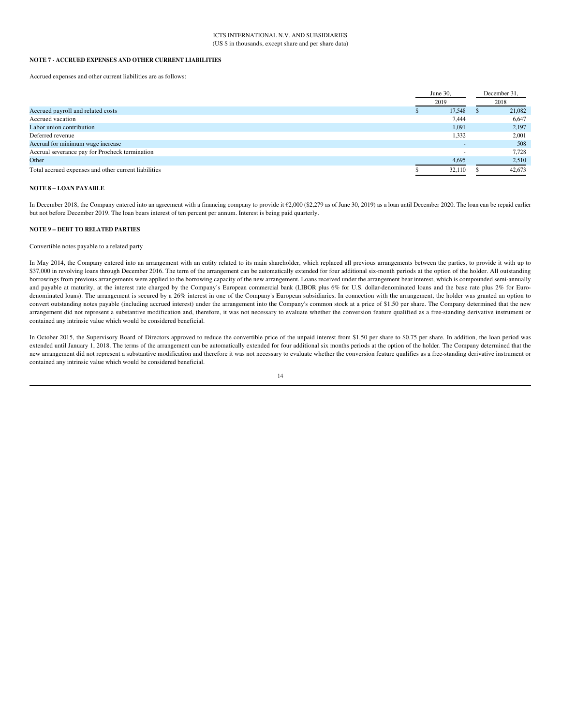#### NOTE 7 - ACCRUED EXPENSES AND OTHER CURRENT LIABILITIES

Accrued expenses and other current liabilities are as follows:

|                                                      | June 30, | December 31, |
|------------------------------------------------------|----------|--------------|
|                                                      | 2019     | 2018         |
| Accrued payroll and related costs                    | 17,548   | 21,082       |
| Accrued vacation                                     | 7,444    | 6,647        |
| Labor union contribution                             | 1,091    | 2,197        |
| Deferred revenue                                     | 1,332    | 2,001        |
| Accrual for minimum wage increase                    |          | 508          |
| Accrual severance pay for Procheck termination       |          | 7.728        |
| Other                                                | 4,695    | 2,510        |
| Total accrued expenses and other current liabilities | 32.110   | 42,673       |

#### **NOTE 8 - LOAN PAYABLE**

In December 2018, the Company entered into an agreement with a financing company to provide it €2,000 (\$2,279 as of June 30, 2019) as a loan until December 2020. The loan can be repaid earlier but not before December 2019. The loan bears interest of ten percent per annum. Interest is being paid quarterly.

#### **NOTE 9 - DEBT TO RELATED PARTIES**

#### Convertible notes payable to a related party

In May 2014, the Company entered into an arrangement with an entity related to its main shareholder, which replaced all previous arrangements between the parties, to provide it with up to \$37,000 in revolving loans through December 2016. The term of the arrangement can be automatically extended for four additional six-month periods at the option of the holder. All outstanding borrowings from previous arrangements were applied to the borrowing capacity of the new arrangement. Loans received under the arrangement bear interest, which is compounded semi-annually and payable at maturity, at the interest rate charged by the Company's European commercial bank (LIBOR plus 6% for U.S. dollar-denominated loans and the base rate plus 2% for Eurodenominated loans). The arrangement is secured by a 26% interest in one of the Company's European subsidiaries. In connection with the arrangement, the holder was granted an option to convert outstanding notes payable (including accrued interest) under the arrangement into the Company's common stock at a price of \$1.50 per share. The Company determined that the new arrangement did not represent a substantive modification and, therefore, it was not necessary to evaluate whether the conversion feature qualified as a free-standing derivative instrument or contained any intrinsic value which would be considered beneficial.

In October 2015, the Supervisory Board of Directors approved to reduce the convertible price of the unpaid interest from \$1.50 per share to \$0.75 per share. In addition, the loan period was extended until January 1, 2018. The terms of the arrangement can be automatically extended for four additional six months periods at the option of the holder. The Company determined that the new arrangement did not represent a substantive modification and therefore it was not necessary to evaluate whether the conversion feature qualifies as a free-standing derivative instrument or contained any intrinsic value which would be considered beneficial.

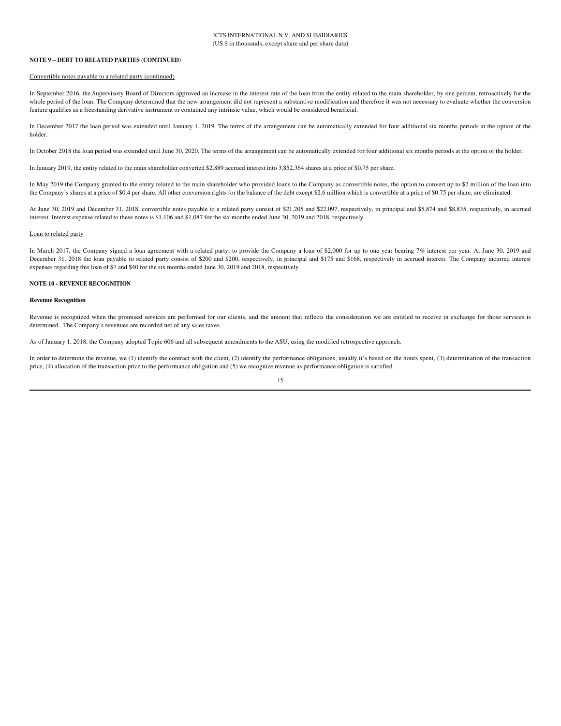#### **NOTE 9 - DEBT TO RELATED PARTIES (CONTINUED)**

## Convertible notes payable to a related party (continued)

In September 2016, the Supervisory Board of Directors approved an increase in the interest rate of the loan from the entity related to the main shareholder, by one percent, retroactively for the whole period of the loan. The Company determined that the new arrangement did not represent a substantive modification and therefore it was not necessary to evaluate whether the conversion feature qualifies as a freestanding derivative instrument or contained any intrinsic value, which would be considered beneficial.

In December 2017 the loan period was extended until January 1, 2019. The terms of the arrangement can be automatically extended for four additional six months periods at the option of the holder

In October 2018 the loan period was extended until June 30, 2020. The terms of the arrangement can be automatically extended for four additional six months periods at the option of the holder.

In January 2019, the entity related to the main shareholder converted \$2,889 accrued interest into 3,852,364 shares at a price of \$0.75 per share.

In May 2019 the Company granted to the entity related to the main shareholder who provided loans to the Company as convertible notes, the option to convert up to \$2 million of the loan into the Company's shares at a price of \$0.4 per share. All other conversion rights for the balance of the debt except \$2.6 million which is convertible at a price of \$0.75 per share, are eliminated.

At June 30, 2019 and December 31, 2018, convertible notes payable to a related party consist of \$21,205 and \$22,097, respectively, in principal and \$5,874 and \$8,835, respectively, in accrued interest. Interest expense related to these notes is \$1,106 and \$1,087 for the six months ended June 30, 2019 and 2018, respectively.

#### Loan to related party

In March 2017, the Company signed a loan agreement with a related party, to provide the Company a loan of \$2,000 for up to one year bearing 7% interest per year. At June 30, 2019 and December 31, 2018 the loan payable to related party consist of \$200 and \$200, respectively, in principal and \$175 and \$168, respectively in accrued interest. The Company incurred interest expenses regarding this loan of \$7 and \$40 for the six months ended June 30, 2019 and 2018, respectively.

## **NOTE 10 - REVENUE RECOGNITION**

#### **Revenue Recognition**

Revenue is recognized when the promised services are performed for our clients, and the amount that reflects the consideration we are entitled to receive in exchange for those services is determined. The Company's revenues are recorded net of any sales taxes.

As of January 1, 2018, the Company adopted Topic 606 and all subsequent amendments to the ASU, using the modified retrospective approach.

In order to determine the revenue, we (1) identify the contract with the client, (2) identify the performance obligations, usually it's based on the hours spent, (3) determination of the transaction price, (4) allocation of the transaction price to the performance obligation and (5) we recognize revenue as performance obligation is satisfied.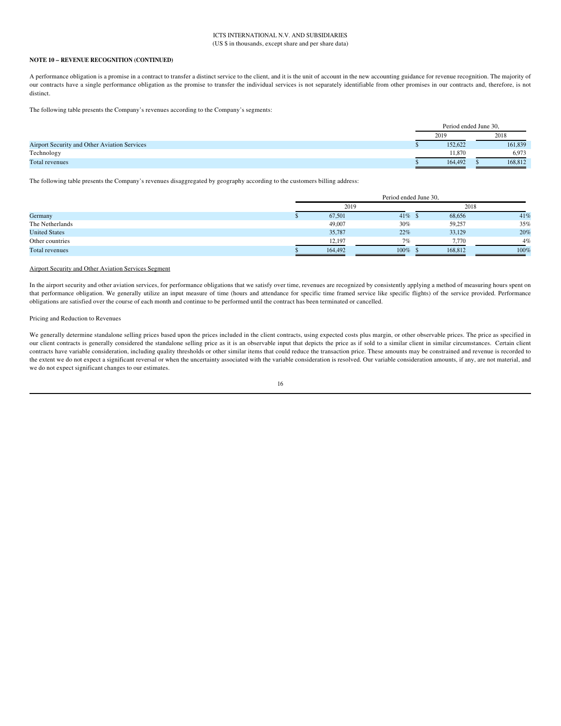## **ICTS INTERNATIONAL N V AND SUBSIDIARIES** (US \$ in thousands, except share and per share data)

## NOTE 10 - REVENUE RECOGNITION (CONTINUED)

A performance obligation is a promise in a contract to transfer a distinct service to the client, and it is the unit of account in the new accounting guidance for revenue recognition. The majority of our contracts have a single performance obligation as the promise to transfer the individual services is not separately identifiable from other promises in our contracts and, therefore, is not distinct.

The following table presents the Company's revenues according to the Company's segments:

|                                              | Period ended June 30. |         |
|----------------------------------------------|-----------------------|---------|
|                                              | 2019                  | 2018    |
| Airport Security and Other Aviation Services | 152,622               | 161,839 |
| Technology                                   | 11.870                | 6.973   |
| Total revenues                               | 164,492               | 168,812 |

The following table presents the Company's revenues disaggregated by geography according to the customers billing address:

|                      | Period ended June 30, |            |         |             |  |  |  |
|----------------------|-----------------------|------------|---------|-------------|--|--|--|
|                      | 2019                  |            |         | 2018        |  |  |  |
| Germany              | 67,501                | $41\%$ \$  | 68,656  | 41%         |  |  |  |
| The Netherlands      | 49,007                | 30%        | 59,257  | 35%         |  |  |  |
| <b>United States</b> | 35,787                | 22%        | 33,129  | 20%         |  |  |  |
| Other countries      | 12,197                | 7%         |         | 4%<br>7.770 |  |  |  |
| Total revenues       | 164,492               | $100\%$ \; | 168,812 | 100%        |  |  |  |

## **Airport Security and Other Aviation Services Segment**

In the airport security and other aviation services, for performance obligations that we satisfy over time, revenues are recognized by consistently applying a method of measuring hours spent on that performance obligation. We generally utilize an input measure of time (hours and attendance for specific time framed service like specific flights) of the service provided. Performance obligations are satisfied over the course of each month and continue to be performed until the contract has been terminated or cancelled.

#### Pricing and Reduction to Revenues

We generally determine standalone selling prices based upon the prices included in the client contracts, using expected costs plus margin, or other observable prices. The price as specified in our client contracts is generally considered the standalone selling price as it is an observable input that depicts the price as if sold to a similar client in similar circumstances. Certain client contracts have variable consideration, including quality thresholds or other similar items that could reduce the transaction price. These amounts may be constrained and revenue is recorded to the extent we do not expect a significant reversal or when the uncertainty associated with the variable consideration is resolved. Our variable consideration amounts, if any, are not material, and we do not expect significant changes to our estimates.

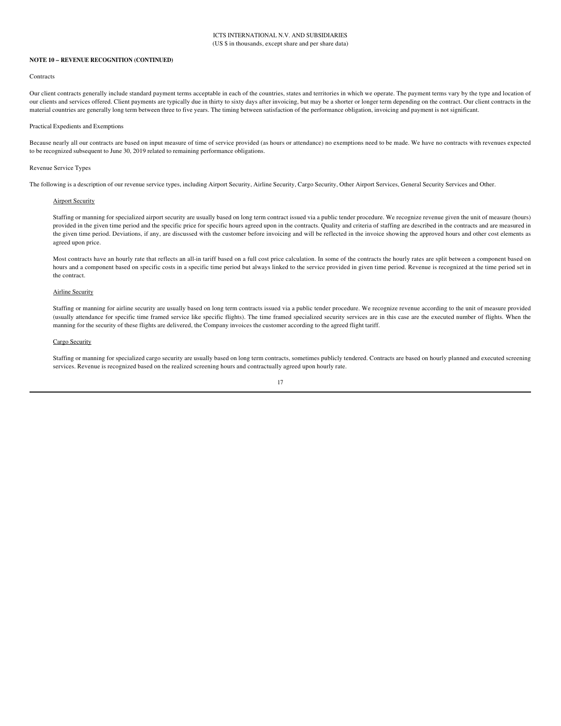#### **NOTE 10 - REVENUE RECOGNITION (CONTINUED)**

#### Contracts

Our client contracts generally include standard payment terms acceptable in each of the countries, states and territories in which we operate. The payment terms vary by the type and location of our clients and services offered. Client payments are typically due in thirty to sixty days after invoicing, but may be a shorter or longer term depending on the contract. Our client contracts in the material countries are generally long term between three to five years. The timing between satisfaction of the performance obligation, invoicing and payment is not significant.

#### Practical Expedients and Exemptions

Because nearly all our contracts are based on input measure of time of service provided (as hours or attendance) no exemptions need to be made. We have no contracts with revenues expected to be recognized subsequent to June 30, 2019 related to remaining performance obligations.

#### **Revenue Service Types**

The following is a description of our revenue service types, including Airport Security, Airline Security, Cargo Security, Other Airport Services, General Security Services and Other.

#### **Airport Security**

Staffing or manning for specialized airport security are usually based on long term contract issued via a public tender procedure. We recognize revenue given the unit of measure (hours) provided in the given time period and the specific price for specific hours agreed upon in the contracts. Quality and criteria of staffing are described in the contracts and are measured in the given time period. Deviations, if any, are discussed with the customer before invoicing and will be reflected in the invoice showing the approved hours and other cost elements as agreed upon price.

Most contracts have an hourly rate that reflects an all-in tariff based on a full cost price calculation. In some of the contracts the hourly rates are split between a component based on hours and a component based on specific costs in a specific time period but always linked to the service provided in given time period. Revenue is recognized at the time period set in the contract.

#### **Airline Security**

Staffing or manning for airline security are usually based on long term contracts issued via a public tender procedure. We recognize revenue according to the unit of measure provided (usually attendance for specific time framed service like specific flights). The time framed specialized security services are in this case are the executed number of flights. When the manning for the security of these flights are delivered, the Company invoices the customer according to the agreed flight tariff.

## Cargo Security

Staffing or manning for specialized cargo security are usually based on long term contracts, sometimes publicly tendered. Contracts are based on hourly planned and executed screening services. Revenue is recognized based on the realized screening hours and contractually agreed upon hourly rate.

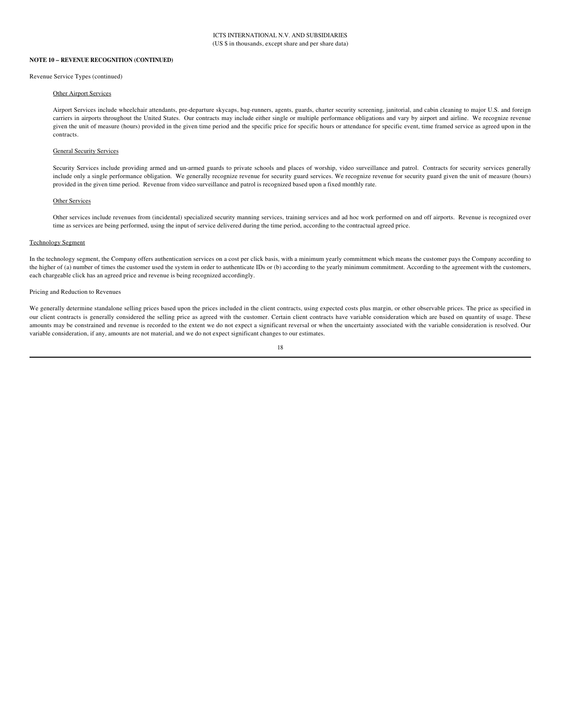#### **NOTE 10 - REVENUE RECOGNITION (CONTINUED)**

#### Revenue Service Types (continued)

#### Other Airport Services

Airport Services include wheelchair attendants, pre-departure skycaps, bag-runners, agents, guards, charter security screening, janitorial, and cabin cleaning to major U.S. and foreign carriers in airports throughout the United States. Our contracts may include either single or multiple performance obligations and vary by airport and airline. We recognize revenue given the unit of measure (hours) provided in the given time period and the specific price for specific hours or attendance for specific event, time framed service as agreed upon in the contracts

#### **General Security Services**

Security Services include providing armed and un-armed guards to private schools and places of worship, video surveillance and patrol. Contracts for security services generally include only a single performance obligation. We generally recognize revenue for security guard services. We recognize revenue for security guard given the unit of measure (hours) provided in the given time period. Revenue from video surveillance and patrol is recognized based upon a fixed monthly rate.

## Other Services

Other services include revenues from (incidental) specialized security manning services, training services and ad hoc work performed on and off airports. Revenue is recognized over time as services are being performed, using the input of service delivered during the time period, according to the contractual agreed price.

#### **Technology Segment**

In the technology segment, the Company offers authentication services on a cost per click basis, with a minimum yearly commitment which means the customer pays the Company according to the higher of (a) number of times the customer used the system in order to authenticate IDs or (b) according to the yearly minimum commitment. According to the agreement with the customers, each chargeable click has an agreed price and revenue is being recognized accordingly.

#### Pricing and Reduction to Revenues

We generally determine standalone selling prices based upon the prices included in the client contracts, using expected costs plus margin, or other observable prices. The price as specified in our client contracts is generally considered the selling price as agreed with the customer. Certain client contracts have variable consideration which are based on quantity of usage. These amounts may be constrained and revenue is recorded to the extent we do not expect a significant reversal or when the uncertainty associated with the variable consideration is resolved. Our variable consideration, if any, amounts are not material, and we do not expect significant changes to our estimates.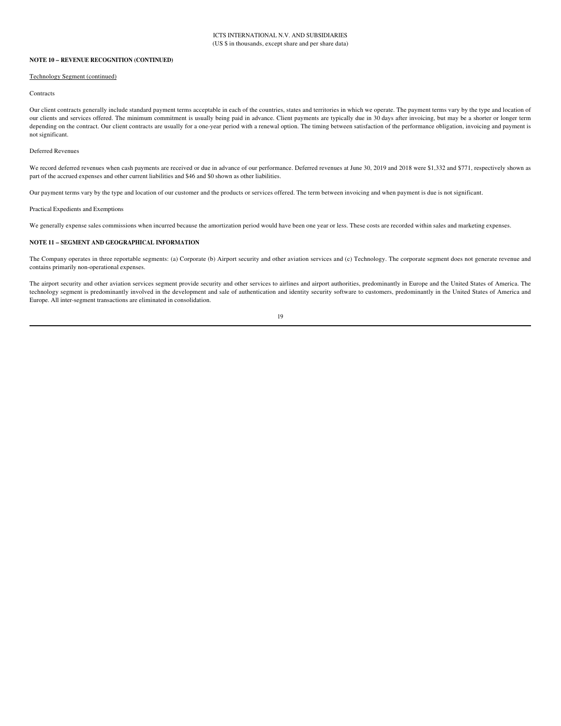## NOTE 10 - REVENUE RECOGNITION (CONTINUED)

#### **Technology Segment (continued)**

#### Contracts

Our client contracts generally include standard payment terms acceptable in each of the countries, states and territories in which we operate. The payment terms vary by the type and location of our clients and services offered. The minimum commitment is usually being paid in advance. Client payments are typically due in 30 days after invoicing, but may be a shorter or longer term depending on the contract. Our client contracts are usually for a one-year period with a renewal option. The timing between satisfaction of the performance obligation, invoicing and payment is not significant.

#### Deferred Revenues

We record deferred revenues when cash payments are received or due in advance of our performance. Deferred revenues at June 30, 2019 and 2018 were \$1,332 and \$771, respectively shown as part of the accrued expenses and other current liabilities and \$46 and \$0 shown as other liabilities.

Our payment terms vary by the type and location of our customer and the products or services offered. The term between invoicing and when payment is due is not significant.

Practical Expedients and Exemptions

We generally expense sales commissions when incurred because the amortization period would have been one year or less. These costs are recorded within sales and marketing expenses.

## NOTE 11 - SEGMENT AND GEOGRAPHICAL INFORMATION

The Company operates in three reportable segments: (a) Corporate (b) Airport security and other aviation services and (c) Technology. The corporate segment does not generate revenue and contains primarily non-operational expenses.

The airport security and other aviation services segment provide security and other services to airlines and airport authorities, predominantly in Europe and the United States of America. The technology segment is predominantly involved in the development and sale of authentication and identity security software to customers, predominantly in the United States of America and Europe. All inter-segment transactions are eliminated in consolidation.

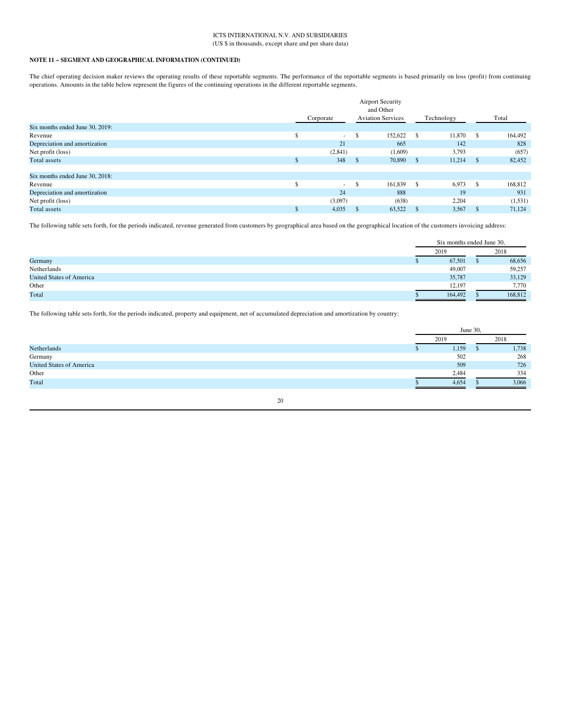## ICTS INTERNATIONAL N.V. AND SUBSIDIARIES (US \$ in thousands, except share and per share data)

## NOTE 11 – SEGMENT AND GEOGRAPHICAL INFORMATION (CONTINUED)

The chief operating decision maker reviews the operating results of these reportable segments. The performance of the reportable segments is based primarily on loss (profit) from continuing operations. Amounts in the table below represent the figures of the continuing operations in the different reportable segments.

|                                 | <b>Airport Security</b><br>and Other |           |               |                          |      |            |              |          |
|---------------------------------|--------------------------------------|-----------|---------------|--------------------------|------|------------|--------------|----------|
|                                 |                                      | Corporate |               | <b>Aviation Services</b> |      | Technology |              | Total    |
| Six months ended June 30, 2019: |                                      |           |               |                          |      |            |              |          |
| Revenue                         |                                      | $\sim$    | <sup>\$</sup> | 152,622                  | - \$ | 11,870     | -S           | 164,492  |
| Depreciation and amortization   |                                      | 21        |               | 665                      |      | 142        |              | 828      |
| Net profit (loss)               |                                      | (2,841)   |               | (1,609)                  |      | 3,793      |              | (657)    |
| <b>Total</b> assets             |                                      | 348       | - S           | 70,890                   | - \$ | 11,214     | $\mathbf{s}$ | 82,452   |
|                                 |                                      |           |               |                          |      |            |              |          |
| Six months ended June 30, 2018: |                                      |           |               |                          |      |            |              |          |
| Revenue                         |                                      | $\sim$    | \$            | 161,839                  | - \$ | 6,973      | -S           | 168,812  |
| Depreciation and amortization   |                                      | 24        |               | 888                      |      | 19         |              | 931      |
| Net profit (loss)               |                                      | (3,097)   |               | (638)                    |      | 2,204      |              | (1, 531) |
| Total assets                    |                                      | 4,035     |               | 63,522                   |      | 3,567      | <b>D</b>     | 71.124   |

The following table sets forth, for the periods indicated, revenue generated from customers by geographical area based on the geographical location of the customers invoicing address:

|                                 | Six months ended June 30, |         |
|---------------------------------|---------------------------|---------|
|                                 | 2019                      | 2018    |
| Germany                         | 67,501                    | 68,656  |
| Netherlands                     | 49,007                    | 59,257  |
| <b>United States of America</b> | 35,787                    | 33,129  |
| Other                           | 12,197                    | 7,770   |
| Total                           | 164,492                   | 168,812 |

The following table sets forth, for the periods indicated, property and equipment, net of accumulated depreciation and amortization by country:

|                                 | June 30, |  |       |
|---------------------------------|----------|--|-------|
|                                 | 2019     |  | 2018  |
| Netherlands                     | 1,159    |  | 1,738 |
| Germany                         | 502      |  | 268   |
| <b>United States of America</b> | 509      |  | 726   |
| Other                           | 2,484    |  | 334   |
| Total                           | 4,654    |  | 3,066 |

 $20\,$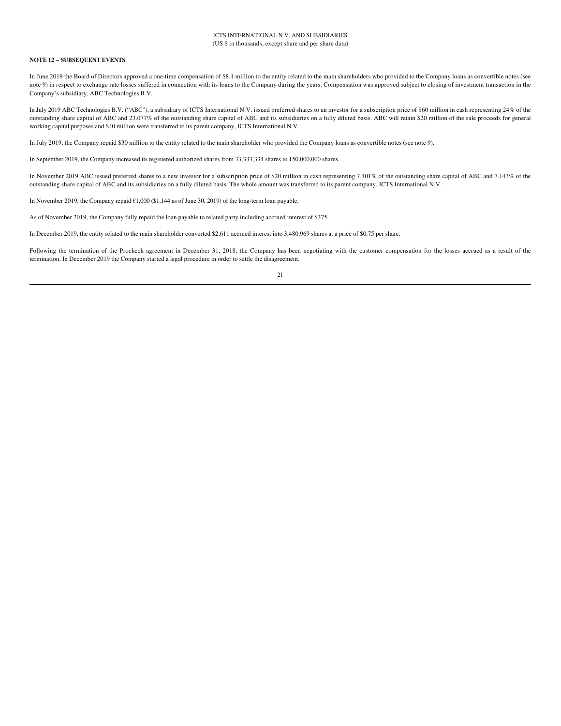## **NOTE 12 - SUBSEQUENT EVENTS**

In June 2019 the Board of Directors approved a one-time compensation of \$8.1 million to the entity related to the main shareholders who provided to the Company loans as convertible notes (see note 9) in respect to exchange rate losses suffered in connection with its loans to the Company during the years. Compensation was approved subject to closing of investment transaction in the Company's subsidiary, ABC Technologies B.V.

In July 2019 ABC Technologies B.V. ("ABC"), a subsidiary of ICTS International N.V. issued preferred shares to an investor for a subscription price of \$60 million in cash representing 24% of the outstanding share capital of ABC and 23.077% of the outstanding share capital of ABC and its subsidiaries on a fully diluted basis. ABC will retain \$20 million of the sale proceeds for general working capital purposes and \$40 million were transferred to its parent company, ICTS International N.V.

In July 2019, the Company repaid \$30 million to the entity related to the main shareholder who provided the Company loans as convertible notes (see note 9).

In September 2019, the Company increased its registered authorized shares from 33,333,334 shares to 150,000,000 shares.

In November 2019 ABC issued preferred shares to a new investor for a subscription price of \$20 million in cash representing 7.401% of the outstanding share capital of ABC and 7.143% of the outstanding share capital of ABC and its subsidiaries on a fully diluted basis. The whole amount was transferred to its parent company, ICTS International N.V.

In November 2019, the Company repaid €1,000 (\$1,144 as of June 30, 2019) of the long-term loan payable.

As of November 2019, the Company fully repaid the loan payable to related party including accrued interest of \$375.

In December 2019, the entity related to the main shareholder converted \$2,611 accrued interest into 3,480,969 shares at a price of \$0.75 per share.

Following the termination of the Procheck agreement in December 31, 2018, the Company has been negotiating with the customer compensation for the losses accrued as a result of the termination. In December 2019 the Company started a legal procedure in order to settle the disagreement.

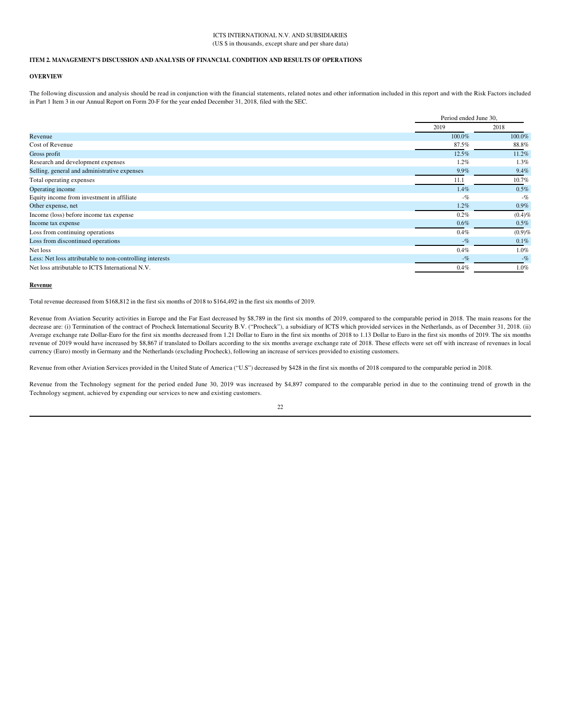## **ICTS INTERNATIONAL N V AND SUBSIDIARIES** (US \$ in thousands, except share and per share data)

## ITEM 2. MANAGEMENT'S DISCUSSION AND ANALYSIS OF FINANCIAL CONDITION AND RESULTS OF OPERATIONS

## **OVERVIEW**

The following discussion and analysis should be read in conjunction with the financial statements, related notes and other information included in this report and with the Risk Factors included in Part 1 Item 3 in our Annual Report on Form 20-F for the year ended December 31, 2018, filed with the SEC.

|                                                          |           | Period ended June 30, |  |  |
|----------------------------------------------------------|-----------|-----------------------|--|--|
|                                                          | 2019      | 2018                  |  |  |
| Revenue                                                  | $100.0\%$ | 100.0%                |  |  |
| Cost of Revenue                                          | 87.5%     | 88.8%                 |  |  |
| Gross profit                                             | 12.5%     | 11.2%                 |  |  |
| Research and development expenses                        | $1.2\%$   | 1.3%                  |  |  |
| Selling, general and administrative expenses             | $9.9\%$   | 9.4%                  |  |  |
| Total operating expenses                                 | 11.1      | 10.7%                 |  |  |
| Operating income                                         | 1.4%      | 0.5%                  |  |  |
| Equity income from investment in affiliate               | $-$ %     | $-$ %                 |  |  |
| Other expense, net                                       | 1.2%      | $0.9\%$               |  |  |
| Income (loss) before income tax expense                  | $0.2\%$   | $(0.4)$ %             |  |  |
| Income tax expense                                       | 0.6%      | 0.5%                  |  |  |
| Loss from continuing operations                          | $0.4\%$   | $(0.9)$ %             |  |  |
| Loss from discontinued operations                        | $-$ %     | 0.1%                  |  |  |
| Net loss                                                 | 0.4%      | 1.0%                  |  |  |
| Less: Net loss attributable to non-controlling interests | $-$ %     | $-$ %                 |  |  |
| Net loss attributable to ICTS International N.V.         | $0.4\%$   | 1.0%                  |  |  |

#### Revenue

Total revenue decreased from \$168,812 in the first six months of 2018 to \$164,492 in the first six months of 2019.

Revenue from Aviation Security activities in Europe and the Far East decreased by \$8,789 in the first six months of 2019, compared to the comparable period in 2018. The main reasons for the decrease are: (i) Termination of the contract of Procheck International Security B.V. ("Procheck"), a subsidiary of ICTS which provided services in the Netherlands, as of December 31, 2018. (ii) Average exchange rate Dollar-Euro for the first six months decreased from 1.21 Dollar to Euro in the first six months of 2018 to 1.13 Dollar to Euro in the first six months of 2019. The six months revenue of 2019 would have increased by \$8,867 if translated to Dollars according to the six months average exchange rate of 2018. These effects were set off with increase of revenues in local currency (Euro) mostly in Germany and the Netherlands (excluding Procheck), following an increase of services provided to existing customers.

Revenue from other Aviation Services provided in the United State of America ("U.S") decreased by \$428 in the first six months of 2018 compared to the comparable period in 2018.

Revenue from the Technology segment for the period ended June 30, 2019 was increased by \$4,897 compared to the comparable period in due to the continuing trend of growth in the Technology segment, achieved by expending our services to new and existing customers.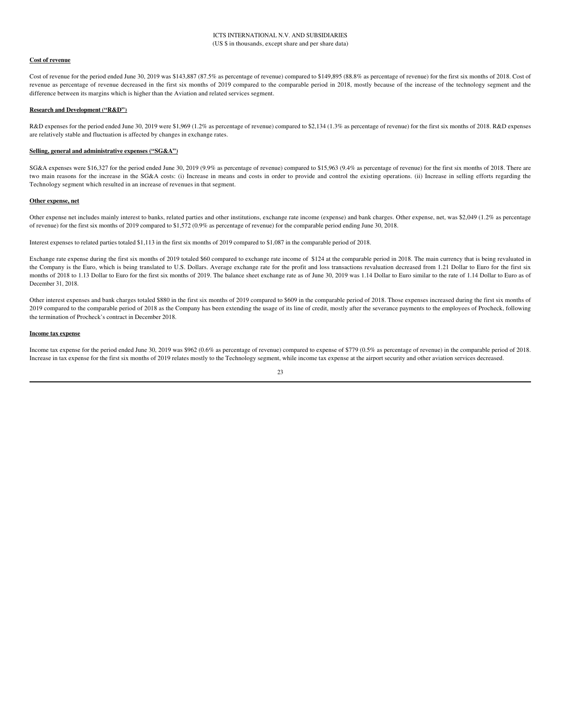## **Cost of revenue**

Cost of revenue for the period ended June 30, 2019 was \$143,887 (87.5% as percentage of revenue) compared to \$149,895 (88.8% as percentage of revenue) for the first six months of 2018. Cost of revenue as percentage of revenue decreased in the first six months of 2019 compared to the comparable period in 2018, mostly because of the increase of the technology segment and the difference between its margins which is higher than the Aviation and related services segment.

#### **Research and Development ("R&D")**

R&D expenses for the period ended June 30, 2019 were \$1,969 (1.2% as percentage of revenue) compared to \$2,134 (1.3% as percentage of revenue) for the first six months of 2018. R&D expenses are relatively stable and fluctuation is affected by changes in exchange rates.

## Selling, general and administrative expenses ("SG&A")

SG&A expenses were \$16,327 for the period ended June 30, 2019 (9.9% as percentage of revenue) compared to \$15,963 (9.4% as percentage of revenue) for the first six months of 2018. There are two main reasons for the increase in the SG&A costs: (i) Increase in means and costs in order to provide and control the existing operations. (ii) Increase in selling efforts regarding the Technology segment which resulted in an increase of revenues in that segment.

## Other expense, net

Other expense net includes mainly interest to banks, related parties and other institutions, exchange rate income (expense) and bank charges. Other expense, net, was \$2,049 (1.2% as percentage of revenue) for the first six months of 2019 compared to \$1,572 (0.9% as percentage of revenue) for the comparable period ending June 30, 2018.

Interest expenses to related parties totaled \$1,113 in the first six months of 2019 compared to \$1,087 in the comparable period of 2018.

Exchange rate expense during the first six months of 2019 totaled \$60 compared to exchange rate income of \$124 at the comparable period in 2018. The main currency that is being revaluated in the Company is the Euro, which is being translated to U.S. Dollars. Average exchange rate for the profit and loss transactions revaluation decreased from 1.21 Dollar to Euro for the first six months of 2018 to 1.13 Dollar to Euro for the first six months of 2019. The balance sheet exchange rate as of June 30, 2019 was 1.14 Dollar to Euro similar to the rate of 1.14 Dollar to Euro as of December 31, 2018.

Other interest expenses and bank charges totaled \$880 in the first six months of 2019 compared to \$609 in the comparable period of 2018. Those expenses increased during the first six months of 2019 compared to the comparable period of 2018 as the Company has been extending the usage of its line of credit, mostly after the severance payments to the employees of Procheck, following the termination of Procheck's contract in December 2018.

#### **Income tax expense**

Income tax expense for the period ended June 30, 2019 was \$962 (0.6% as percentage of revenue) compared to expense of \$779 (0.5% as percentage of revenue) in the comparable period of 2018. Increase in tax expense for the first six months of 2019 relates mostly to the Technology segment, while income tax expense at the airport security and other aviation services decreased.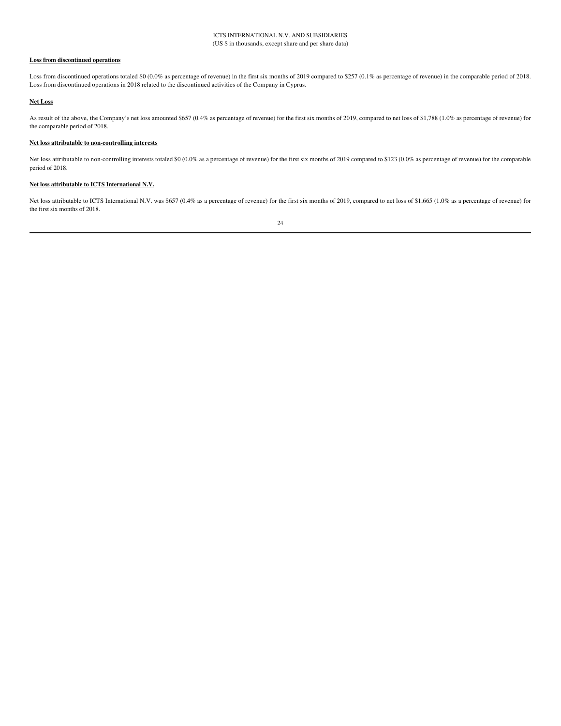## **Loss from discontinued operations**

Loss from discontinued operations totaled \$0 (0.0% as percentage of revenue) in the first six months of 2019 compared to \$257 (0.1% as percentage of revenue) in the comparable period of 2018. Loss from discontinued operations in 2018 related to the discontinued activities of the Company in Cyprus.

## **Net Loss**

As result of the above, the Company's net loss amounted \$657 (0.4% as percentage of revenue) for the first six months of 2019, compared to net loss of \$1,788 (1.0% as percentage of revenue) for the comparable period of 2018.

## Net loss attributable to non-controlling interests

Net loss attributable to non-controlling interests totaled \$0 (0.0% as a percentage of revenue) for the first six months of 2019 compared to \$123 (0.0% as percentage of revenue) for the comparable period of 2018.

## Net loss attributable to ICTS International N.V.

Net loss attributable to ICTS International N.V. was \$657 (0.4% as a percentage of revenue) for the first six months of 2019, compared to net loss of \$1,665 (1.0% as a percentage of revenue) for the first six months of 2018.

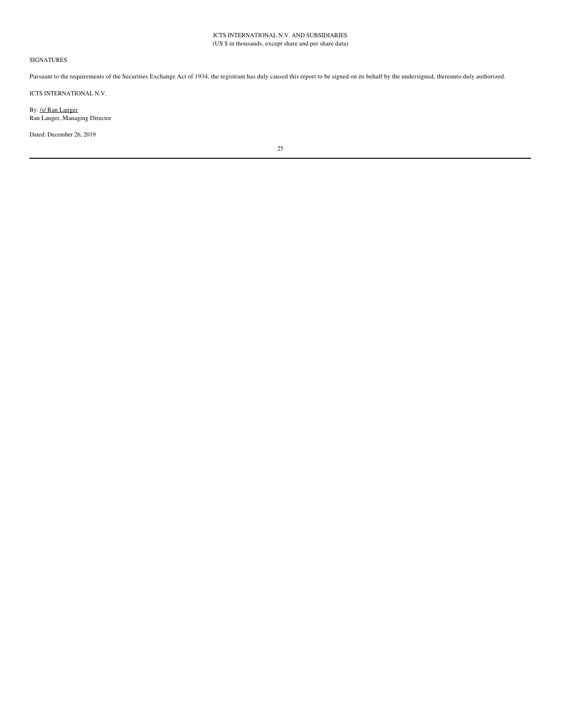## **SIGNATURES**

Pursuant to the requirements of the Securities Exchange Act of 1934, the registrant has duly caused this report to be signed on its behalf by the undersigned, thereunto duly authorized.

ICTS INTERNATIONAL N.V.

By: /s/ Ran Langer Ran Langer, Managing Director

Dated: December 26, 2019